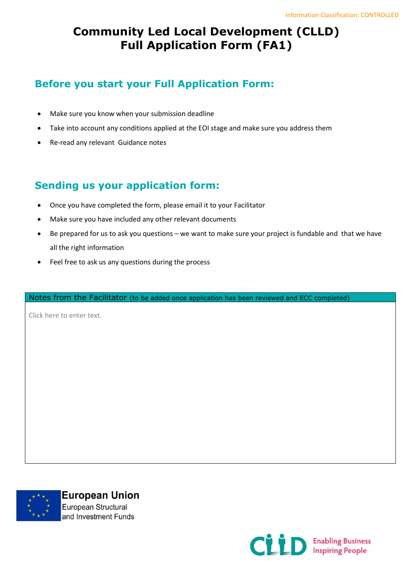## **Community Led Local Development (CLLD) Full Application Form (FA1)**

## **Before you start your Full Application Form:**

- Make sure you know when your submission deadline
- Take into account any conditions applied at the EOI stage and make sure you address them
- Re-read any relevant Guidance notes

## **Sending us your application form:**

- Once you have completed the form, please email it to your Facilitator
- Make sure you have included any other relevant documents
- Be prepared for us to ask you questions we want to make sure your project is fundable and that we have all the right information
- Feel free to ask us any questions during the process

Notes from the Facilitator (to be added once application has been reviewed and ECC completed)

Click here to enter text.



**European Union** European Structural and Investment Funds

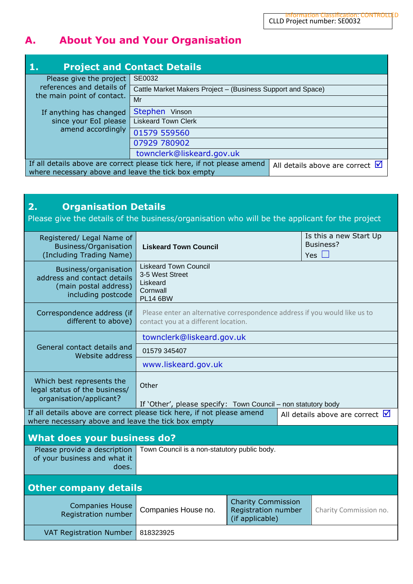# **A. About You and Your Organisation**

| <b>Project and Contact Details</b>                                                                                                                                                 |                                                             |  |  |  |  |
|------------------------------------------------------------------------------------------------------------------------------------------------------------------------------------|-------------------------------------------------------------|--|--|--|--|
| Please give the project                                                                                                                                                            | SE0032                                                      |  |  |  |  |
| references and details of                                                                                                                                                          | Cattle Market Makers Project - (Business Support and Space) |  |  |  |  |
| the main point of contact.                                                                                                                                                         | Mr                                                          |  |  |  |  |
| If anything has changed                                                                                                                                                            | Stephen Vinson                                              |  |  |  |  |
| since your EoI please                                                                                                                                                              | <b>Liskeard Town Clerk</b>                                  |  |  |  |  |
| amend accordingly                                                                                                                                                                  | 01579 559560                                                |  |  |  |  |
|                                                                                                                                                                                    | 07929 780902                                                |  |  |  |  |
|                                                                                                                                                                                    | townclerk@liskeard.gov.uk                                   |  |  |  |  |
| If all details above are correct please tick here, if not please amend<br>All details above are correct $\sqrt{\phantom{a}}$<br>where necessary above and leave the tick box empty |                                                             |  |  |  |  |

| 2.<br><b>Organisation Details</b><br>Please give the details of the business/organisation who will be the applicant for the project |                                                                                                                    |                                                                     |  |                                                   |  |
|-------------------------------------------------------------------------------------------------------------------------------------|--------------------------------------------------------------------------------------------------------------------|---------------------------------------------------------------------|--|---------------------------------------------------|--|
| Registered/ Legal Name of<br><b>Business/Organisation</b><br>(Including Trading Name)                                               | <b>Liskeard Town Council</b>                                                                                       |                                                                     |  | Is this a new Start Up<br>Business?<br>Yes $\Box$ |  |
| Business/organisation<br>address and contact details<br>(main postal address)<br>including postcode                                 | <b>Liskeard Town Council</b><br>3-5 West Street<br>Liskeard<br>Cornwall<br><b>PL14 6BW</b>                         |                                                                     |  |                                                   |  |
| Correspondence address (if<br>different to above)                                                                                   | Please enter an alternative correspondence address if you would like us to<br>contact you at a different location. |                                                                     |  |                                                   |  |
|                                                                                                                                     | townclerk@liskeard.gov.uk                                                                                          |                                                                     |  |                                                   |  |
| General contact details and<br>Website address                                                                                      | 01579 345407                                                                                                       |                                                                     |  |                                                   |  |
|                                                                                                                                     | www.liskeard.gov.uk                                                                                                |                                                                     |  |                                                   |  |
| Which best represents the<br>legal status of the business/<br>organisation/applicant?                                               | Other<br>If 'Other', please specify: Town Council – non statutory body                                             |                                                                     |  |                                                   |  |
| If all details above are correct please tick here, if not please amend<br>where necessary above and leave the tick box empty        |                                                                                                                    |                                                                     |  | All details above are correct $\blacksquare$      |  |
| <b>What does your business do?</b>                                                                                                  |                                                                                                                    |                                                                     |  |                                                   |  |
| Please provide a description<br>of your business and what it<br>does.                                                               | Town Council is a non-statutory public body.                                                                       |                                                                     |  |                                                   |  |
| <b>Other company details</b>                                                                                                        |                                                                                                                    |                                                                     |  |                                                   |  |
| <b>Companies House</b><br>Registration number                                                                                       | Companies House no.                                                                                                | <b>Charity Commission</b><br>Registration number<br>(if applicable) |  | Charity Commission no.                            |  |
| VAT Registration Number                                                                                                             | 818323925                                                                                                          |                                                                     |  |                                                   |  |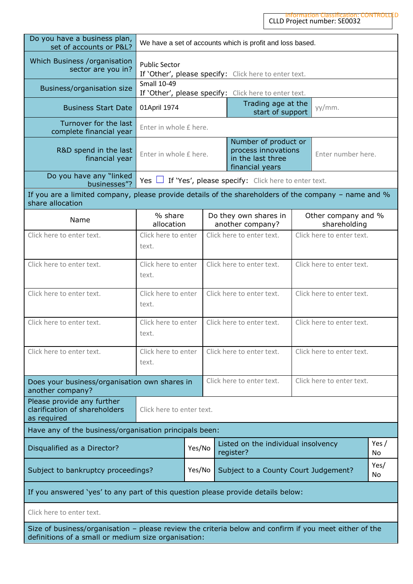| Do you have a business plan,<br>set of accounts or P&L?                                                                                                       | We have a set of accounts which is profit and loss based.                              |                                                                                                                                     |                           |  |                                                       |  |                                     |  |
|---------------------------------------------------------------------------------------------------------------------------------------------------------------|----------------------------------------------------------------------------------------|-------------------------------------------------------------------------------------------------------------------------------------|---------------------------|--|-------------------------------------------------------|--|-------------------------------------|--|
| Which Business /organisation<br>sector are you in?                                                                                                            | <b>Public Sector</b><br>If 'Other', please specify: Click here to enter text.          |                                                                                                                                     |                           |  |                                                       |  |                                     |  |
| Business/organisation size                                                                                                                                    | <b>Small 10-49</b>                                                                     |                                                                                                                                     |                           |  | If 'Other', please specify: Click here to enter text. |  |                                     |  |
| <b>Business Start Date</b>                                                                                                                                    | 01 April 1974                                                                          |                                                                                                                                     |                           |  | Trading age at the<br>start of support                |  | yy/mm.                              |  |
| Turnover for the last<br>complete financial year                                                                                                              | Enter in whole £ here.                                                                 |                                                                                                                                     |                           |  |                                                       |  |                                     |  |
| R&D spend in the last<br>financial year                                                                                                                       |                                                                                        | Number of product or<br>process innovations<br>Enter in whole £ here.<br>Enter number here.<br>in the last three<br>financial years |                           |  |                                                       |  |                                     |  |
| Do you have any "linked<br>businesses"?                                                                                                                       | Yes $\Box$                                                                             |                                                                                                                                     |                           |  | If 'Yes', please specify: Click here to enter text.   |  |                                     |  |
| If you are a limited company, please provide details of the shareholders of the company $-$ name and $\%$<br>share allocation                                 |                                                                                        |                                                                                                                                     |                           |  |                                                       |  |                                     |  |
| Name                                                                                                                                                          | % share<br>allocation                                                                  |                                                                                                                                     |                           |  | Do they own shares in<br>another company?             |  | Other company and %<br>shareholding |  |
| Click here to enter text.                                                                                                                                     | Click here to enter text.<br>Click here to enter<br>Click here to enter text.<br>text. |                                                                                                                                     |                           |  |                                                       |  |                                     |  |
| Click here to enter text.                                                                                                                                     | Click here to enter text.<br>Click here to enter<br>Click here to enter text.<br>text. |                                                                                                                                     |                           |  |                                                       |  |                                     |  |
| Click here to enter text.                                                                                                                                     | Click here to enter<br>Click here to enter text.<br>Click here to enter text.<br>text. |                                                                                                                                     |                           |  |                                                       |  |                                     |  |
| Click here to enter text.                                                                                                                                     | Click here to enter text.<br>Click here to enter<br>text.                              |                                                                                                                                     | Click here to enter text. |  |                                                       |  |                                     |  |
| Click here to enter text.                                                                                                                                     | Click here to enter<br>text.                                                           |                                                                                                                                     |                           |  | Click here to enter text.                             |  | Click here to enter text.           |  |
| Does your business/organisation own shares in<br>another company?                                                                                             |                                                                                        |                                                                                                                                     |                           |  | Click here to enter text.                             |  | Click here to enter text.           |  |
| Please provide any further<br>clarification of shareholders<br>as required                                                                                    | Click here to enter text.                                                              |                                                                                                                                     |                           |  |                                                       |  |                                     |  |
| Have any of the business/organisation principals been:                                                                                                        |                                                                                        |                                                                                                                                     |                           |  |                                                       |  |                                     |  |
| Yes $/$<br>Listed on the individual insolvency<br>Yes/No<br>Disqualified as a Director?<br>register?<br>No                                                    |                                                                                        |                                                                                                                                     |                           |  |                                                       |  |                                     |  |
| Yes/<br>Subject to bankruptcy proceedings?<br>Yes/No<br>Subject to a County Court Judgement?<br>No                                                            |                                                                                        |                                                                                                                                     |                           |  |                                                       |  |                                     |  |
| If you answered 'yes' to any part of this question please provide details below:                                                                              |                                                                                        |                                                                                                                                     |                           |  |                                                       |  |                                     |  |
| Click here to enter text.                                                                                                                                     |                                                                                        |                                                                                                                                     |                           |  |                                                       |  |                                     |  |
| Size of business/organisation - please review the criteria below and confirm if you meet either of the<br>definitions of a small or medium size organisation: |                                                                                        |                                                                                                                                     |                           |  |                                                       |  |                                     |  |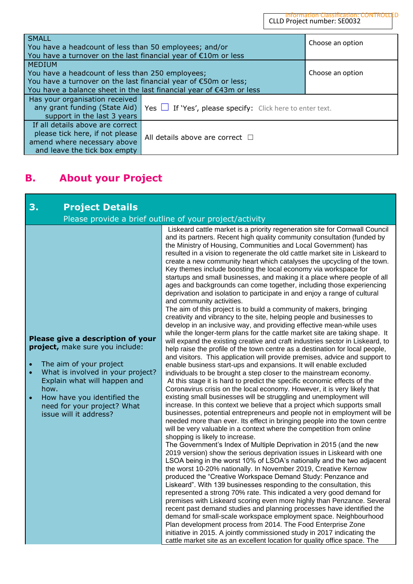| <b>SMALL</b><br>You have a headcount of less than 50 employees; and/or<br>You have a turnover on the last financial year of $E10m$ or less                                                                  | Choose an option                     |  |  |
|-------------------------------------------------------------------------------------------------------------------------------------------------------------------------------------------------------------|--------------------------------------|--|--|
| <b>MEDIUM</b><br>You have a headcount of less than 250 employees;<br>You have a turnover on the last financial year of €50m or less;<br>You have a balance sheet in the last financial year of €43m or less | Choose an option                     |  |  |
| Has your organisation received<br>any grant funding (State Aid)<br>Yes $\Box$ If 'Yes', please specify: Click here to enter text.<br>support in the last 3 years                                            |                                      |  |  |
| If all details above are correct<br>please tick here, if not please<br>amend where necessary above<br>and leave the tick box empty                                                                          | All details above are correct $\Box$ |  |  |

## **B. About your Project**

| 3.<br><b>Project Details</b>                                                                                                                                                                                                                                                                                | Please provide a brief outline of your project/activity                                                                                                                                                                                                                                                                                                                                                                                                                                                                                                                                                                                                                                                                                                                                                                                                                                                                                                                                                                                                                                                                                                                                                                                                                                                                                                                                                                                                                                                                                                                                                                                                                                                                                                                                                                                                                                                                                                                                                                                                                                                                                                                                                                                                                                                                                                                                                                                                                                                                                                                                                                                                                                                                                                                                                                                                                                                                                                       |
|-------------------------------------------------------------------------------------------------------------------------------------------------------------------------------------------------------------------------------------------------------------------------------------------------------------|---------------------------------------------------------------------------------------------------------------------------------------------------------------------------------------------------------------------------------------------------------------------------------------------------------------------------------------------------------------------------------------------------------------------------------------------------------------------------------------------------------------------------------------------------------------------------------------------------------------------------------------------------------------------------------------------------------------------------------------------------------------------------------------------------------------------------------------------------------------------------------------------------------------------------------------------------------------------------------------------------------------------------------------------------------------------------------------------------------------------------------------------------------------------------------------------------------------------------------------------------------------------------------------------------------------------------------------------------------------------------------------------------------------------------------------------------------------------------------------------------------------------------------------------------------------------------------------------------------------------------------------------------------------------------------------------------------------------------------------------------------------------------------------------------------------------------------------------------------------------------------------------------------------------------------------------------------------------------------------------------------------------------------------------------------------------------------------------------------------------------------------------------------------------------------------------------------------------------------------------------------------------------------------------------------------------------------------------------------------------------------------------------------------------------------------------------------------------------------------------------------------------------------------------------------------------------------------------------------------------------------------------------------------------------------------------------------------------------------------------------------------------------------------------------------------------------------------------------------------------------------------------------------------------------------------------------------------|
| Please give a description of your<br>project, make sure you include:<br>The aim of your project<br>$\bullet$<br>What is involved in your project?<br>$\bullet$<br>Explain what will happen and<br>how.<br>How have you identified the<br>$\bullet$<br>need for your project? What<br>issue will it address? | Liskeard cattle market is a priority regeneration site for Cornwall Council<br>and its partners. Recent high quality community consultation (funded by<br>the Ministry of Housing, Communities and Local Government) has<br>resulted in a vision to regenerate the old cattle market site in Liskeard to<br>create a new community heart which catalyses the upcycling of the town.<br>Key themes include boosting the local economy via workspace for<br>startups and small businesses, and making it a place where people of all<br>ages and backgrounds can come together, including those experiencing<br>deprivation and isolation to participate in and enjoy a range of cultural<br>and community activities.<br>The aim of this project is to build a community of makers, bringing<br>creativity and vibrancy to the site, helping people and businesses to<br>develop in an inclusive way, and providing effective mean-while uses<br>while the longer-term plans for the cattle market site are taking shape. It<br>will expand the existing creative and craft industries sector in Liskeard, to<br>help raise the profile of the town centre as a destination for local people,<br>and visitors. This application will provide premises, advice and support to<br>enable business start-ups and expansions. It will enable excluded<br>individuals to be brought a step closer to the mainstream economy.<br>At this stage it is hard to predict the specific economic effects of the<br>Coronavirus crisis on the local economy. However, it is very likely that<br>existing small businesses will be struggling and unemployment will<br>increase. In this context we believe that a project which supports small<br>businesses, potential entrepreneurs and people not in employment will be<br>needed more than ever. Its effect in bringing people into the town centre<br>will be very valuable in a context where the competition from online<br>shopping is likely to increase.<br>The Government's Index of Multiple Deprivation in 2015 (and the new<br>2019 version) show the serious deprivation issues in Liskeard with one<br>LSOA being in the worst 10% of LSOA's nationally and the two adjacent<br>the worst 10-20% nationally. In November 2019, Creative Kernow<br>produced the "Creative Workspace Demand Study: Penzance and<br>Liskeard". With 139 businesses responding to the consultation, this<br>represented a strong 70% rate. This indicated a very good demand for<br>premises with Liskeard scoring even more highly than Penzance. Several<br>recent past demand studies and planning processes have identified the<br>demand for small-scale workspace employment space. Neighbourhood<br>Plan development process from 2014. The Food Enterprise Zone<br>initiative in 2015. A jointly commissioned study in 2017 indicating the<br>cattle market site as an excellent location for quality office space. The |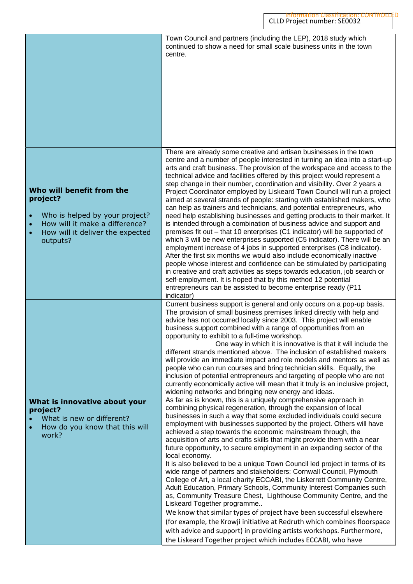Town Council and partners (including the LEP), 2018 study which continued to show a need for small scale business units in the town centre.

#### **Who will benefit from the project?**

- Who is helped by your project?
- How will it make a difference?
- How will it deliver the expected outputs?

#### **What is innovative about your project?**

- What is new or different?
- How do you know that this will work?

There are already some creative and artisan businesses in the town centre and a number of people interested in turning an idea into a start-up arts and craft business. The provision of the workspace and access to the technical advice and facilities offered by this project would represent a step change in their number, coordination and visibility. Over 2 years a Project Coordinator employed by Liskeard Town Council will run a project aimed at several strands of people: starting with established makers, who can help as trainers and technicians, and potential entrepreneurs, who need help establishing businesses and getting products to their market. It is intended through a combination of business advice and support and premises fit out – that 10 enterprises (C1 indicator) will be supported of which 3 will be new enterprises supported (C5 indicator). There will be an employment increase of 4 jobs in supported enterprises (C8 indicator). After the first six months we would also include economically inactive people whose interest and confidence can be stimulated by participating in creative and craft activities as steps towards education, job search or self-employment. It is hoped that by this method 12 potential entrepreneurs can be assisted to become enterprise ready (P11 indicator)

Current business support is general and only occurs on a pop-up basis. The provision of small business premises linked directly with help and advice has not occurred locally since 2003. This project will enable business support combined with a range of opportunities from an opportunity to exhibit to a full-time workshop.

One way in which it is innovative is that it will include the different strands mentioned above. The inclusion of established makers will provide an immediate impact and role models and mentors as well as people who can run courses and bring technician skills. Equally, the inclusion of potential entrepreneurs and targeting of people who are not currently economically active will mean that it truly is an inclusive project, widening networks and bringing new energy and ideas.

As far as is known, this is a uniquely comprehensive approach in combining physical regeneration, through the expansion of local businesses in such a way that some excluded individuals could secure employment with businesses supported by the project. Others will have achieved a step towards the economic mainstream through, the acquisition of arts and crafts skills that might provide them with a near future opportunity, to secure employment in an expanding sector of the local economy.

It is also believed to be a unique Town Council led project in terms of its wide range of partners and stakeholders: Cornwall Council, Plymouth College of Art, a local charity ECCABI, the Liskerrett Community Centre, Adult Education, Primary Schools, Community Interest Companies such as, Community Treasure Chest, Lighthouse Community Centre, and the Liskeard Together programme..

We know that similar types of project have been successful elsewhere (for example, the Krowji initiative at Redruth which combines floorspace with advice and support) in providing artists workshops. Furthermore, the Liskeard Together project which includes ECCABI, who have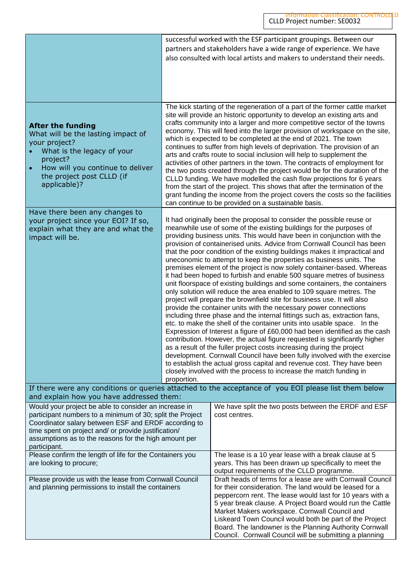|                                                                                                                                                                                                                                                                                                             |                                                                                                                                                                                                                                                                                                                                                                                                                                                                                                                                                                                                                                                                                                                                                                                                                                                                                                                                                                                                                                                                                                                                                                                                                                                                                                                                                                                                                                                                                                                                        | successful worked with the ESF participant groupings. Between our<br>partners and stakeholders have a wide range of experience. We have<br>also consulted with local artists and makers to understand their needs.                                                                                                                                                                                                                                                                                                                                                                                                                                                                                                                                                                                                                                                                                                                                                                                 |  |
|-------------------------------------------------------------------------------------------------------------------------------------------------------------------------------------------------------------------------------------------------------------------------------------------------------------|----------------------------------------------------------------------------------------------------------------------------------------------------------------------------------------------------------------------------------------------------------------------------------------------------------------------------------------------------------------------------------------------------------------------------------------------------------------------------------------------------------------------------------------------------------------------------------------------------------------------------------------------------------------------------------------------------------------------------------------------------------------------------------------------------------------------------------------------------------------------------------------------------------------------------------------------------------------------------------------------------------------------------------------------------------------------------------------------------------------------------------------------------------------------------------------------------------------------------------------------------------------------------------------------------------------------------------------------------------------------------------------------------------------------------------------------------------------------------------------------------------------------------------------|----------------------------------------------------------------------------------------------------------------------------------------------------------------------------------------------------------------------------------------------------------------------------------------------------------------------------------------------------------------------------------------------------------------------------------------------------------------------------------------------------------------------------------------------------------------------------------------------------------------------------------------------------------------------------------------------------------------------------------------------------------------------------------------------------------------------------------------------------------------------------------------------------------------------------------------------------------------------------------------------------|--|
| <b>After the funding</b><br>What will be the lasting impact of<br>your project?<br>What is the legacy of your<br>project?<br>How will you continue to deliver<br>$\bullet$<br>the project post CLLD (if<br>applicable)?                                                                                     |                                                                                                                                                                                                                                                                                                                                                                                                                                                                                                                                                                                                                                                                                                                                                                                                                                                                                                                                                                                                                                                                                                                                                                                                                                                                                                                                                                                                                                                                                                                                        | The kick starting of the regeneration of a part of the former cattle market<br>site will provide an historic opportunity to develop an existing arts and<br>crafts community into a larger and more competitive sector of the towns<br>economy. This will feed into the larger provision of workspace on the site,<br>which is expected to be completed at the end of 2021. The town<br>continues to suffer from high levels of deprivation. The provision of an<br>arts and crafts route to social inclusion will help to supplement the<br>activities of other partners in the town. The contracts of employment for<br>the two posts created through the project would be for the duration of the<br>CLLD funding. We have modelled the cash flow projections for 6 years<br>from the start of the project. This shows that after the termination of the<br>grant funding the income from the project covers the costs so the facilities<br>can continue to be provided on a sustainable basis. |  |
| Have there been any changes to<br>your project since your EOI? If so,<br>explain what they are and what the<br>impact will be.                                                                                                                                                                              | It had originally been the proposal to consider the possible reuse or<br>meanwhile use of some of the existing buildings for the purposes of<br>providing business units. This would have been in conjunction with the<br>provision of containerised units. Advice from Cornwall Council has been<br>that the poor condition of the existing buildings makes it impractical and<br>uneconomic to attempt to keep the properties as business units. The<br>premises element of the project is now solely container-based. Whereas<br>it had been hoped to furbish and enable 500 square metres of business<br>unit floorspace of existing buildings and some containers, the containers<br>only solution will reduce the area enabled to 109 square metres. The<br>project will prepare the brownfield site for business use. It will also<br>provide the container units with the necessary power connections<br>including three phase and the internal fittings such as, extraction fans,<br>etc. to make the shell of the container units into usable space. In the<br>Expression of Interest a figure of £60,000 had been identified as the cash<br>contribution. However, the actual figure requested is significantly higher<br>as a result of the fuller project costs increasing during the project<br>development. Cornwall Council have been fully involved with the exercise<br>to establish the actual gross capital and revenue cost. They have been<br>closely involved with the process to increase the match funding in |                                                                                                                                                                                                                                                                                                                                                                                                                                                                                                                                                                                                                                                                                                                                                                                                                                                                                                                                                                                                    |  |
| and explain how you have addressed them:                                                                                                                                                                                                                                                                    |                                                                                                                                                                                                                                                                                                                                                                                                                                                                                                                                                                                                                                                                                                                                                                                                                                                                                                                                                                                                                                                                                                                                                                                                                                                                                                                                                                                                                                                                                                                                        | If there were any conditions or queries attached to the acceptance of you EOI please list them below                                                                                                                                                                                                                                                                                                                                                                                                                                                                                                                                                                                                                                                                                                                                                                                                                                                                                               |  |
| Would your project be able to consider an increase in<br>participant numbers to a minimum of 30; split the Project<br>Coordinator salary between ESF and ERDF according to<br>time spent on project and/ or provide justification/<br>assumptions as to the reasons for the high amount per<br>participant. |                                                                                                                                                                                                                                                                                                                                                                                                                                                                                                                                                                                                                                                                                                                                                                                                                                                                                                                                                                                                                                                                                                                                                                                                                                                                                                                                                                                                                                                                                                                                        | We have split the two posts between the ERDF and ESF<br>cost centres.                                                                                                                                                                                                                                                                                                                                                                                                                                                                                                                                                                                                                                                                                                                                                                                                                                                                                                                              |  |
| Please confirm the length of life for the Containers you<br>are looking to procure;                                                                                                                                                                                                                         |                                                                                                                                                                                                                                                                                                                                                                                                                                                                                                                                                                                                                                                                                                                                                                                                                                                                                                                                                                                                                                                                                                                                                                                                                                                                                                                                                                                                                                                                                                                                        | The lease is a 10 year lease with a break clause at 5<br>years. This has been drawn up specifically to meet the<br>output requirements of the CLLD programme.                                                                                                                                                                                                                                                                                                                                                                                                                                                                                                                                                                                                                                                                                                                                                                                                                                      |  |
| Please provide us with the lease from Cornwall Council<br>and planning permissions to install the containers                                                                                                                                                                                                |                                                                                                                                                                                                                                                                                                                                                                                                                                                                                                                                                                                                                                                                                                                                                                                                                                                                                                                                                                                                                                                                                                                                                                                                                                                                                                                                                                                                                                                                                                                                        | Draft heads of terms for a lease are with Cornwall Council<br>for their consideration. The land would be leased for a<br>peppercorn rent. The lease would last for 10 years with a<br>5 year break clause. A Project Board would run the Cattle<br>Market Makers workspace. Cornwall Council and<br>Liskeard Town Council would both be part of the Project<br>Board. The landowner is the Planning Authority Cornwall<br>Council. Cornwall Council will be submitting a planning                                                                                                                                                                                                                                                                                                                                                                                                                                                                                                                  |  |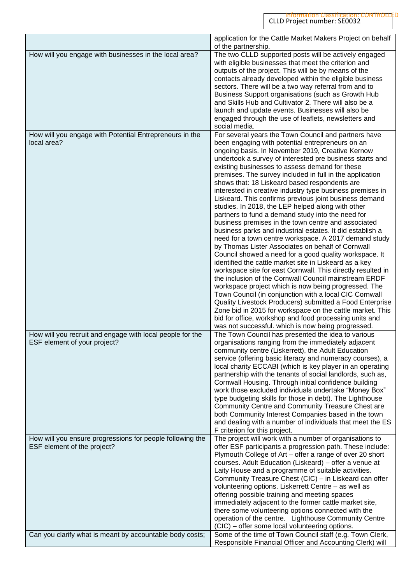|                                                                                          | application for the Cattle Market Makers Project on behalf                                                             |
|------------------------------------------------------------------------------------------|------------------------------------------------------------------------------------------------------------------------|
| How will you engage with businesses in the local area?                                   | of the partnership.<br>The two CLLD supported posts will be actively engaged                                           |
|                                                                                          | with eligible businesses that meet the criterion and                                                                   |
|                                                                                          | outputs of the project. This will be by means of the                                                                   |
|                                                                                          | contacts already developed within the eligible business                                                                |
|                                                                                          | sectors. There will be a two way referral from and to<br>Business Support organisations (such as Growth Hub            |
|                                                                                          | and Skills Hub and Cultivator 2. There will also be a                                                                  |
|                                                                                          | launch and update events. Businesses will also be                                                                      |
|                                                                                          | engaged through the use of leaflets, newsletters and                                                                   |
|                                                                                          | social media.                                                                                                          |
| How will you engage with Potential Entrepreneurs in the<br>local area?                   | For several years the Town Council and partners have<br>been engaging with potential entrepreneurs on an               |
|                                                                                          | ongoing basis. In November 2019, Creative Kernow                                                                       |
|                                                                                          | undertook a survey of interested pre business starts and                                                               |
|                                                                                          | existing businesses to assess demand for these                                                                         |
|                                                                                          | premises. The survey included in full in the application                                                               |
|                                                                                          | shows that: 18 Liskeard based respondents are<br>interested in creative industry type business premises in             |
|                                                                                          | Liskeard. This confirms previous joint business demand                                                                 |
|                                                                                          | studies. In 2018, the LEP helped along with other                                                                      |
|                                                                                          | partners to fund a demand study into the need for                                                                      |
|                                                                                          | business premises in the town centre and associated                                                                    |
|                                                                                          | business parks and industrial estates. It did establish a<br>need for a town centre workspace. A 2017 demand study     |
|                                                                                          | by Thomas Lister Associates on behalf of Cornwall                                                                      |
|                                                                                          | Council showed a need for a good quality workspace. It                                                                 |
|                                                                                          | identified the cattle market site in Liskeard as a key                                                                 |
|                                                                                          | workspace site for east Cornwall. This directly resulted in<br>the inclusion of the Cornwall Council mainstream ERDF   |
|                                                                                          | workspace project which is now being progressed. The                                                                   |
|                                                                                          | Town Council (in conjunction with a local CIC Cornwall                                                                 |
|                                                                                          | Quality Livestock Producers) submitted a Food Enterprise                                                               |
|                                                                                          | Zone bid in 2015 for workspace on the cattle market. This                                                              |
|                                                                                          | bid for office, workshop and food processing units and<br>was not successful. which is now being progressed.           |
| How will you recruit and engage with local people for the                                | The Town Council has presented the idea to various                                                                     |
| ESF element of your project?                                                             | organisations ranging from the immediately adjacent                                                                    |
|                                                                                          | community centre (Liskerrett), the Adult Education                                                                     |
|                                                                                          | service (offering basic literacy and numeracy courses), a<br>local charity ECCABI (which is key player in an operating |
|                                                                                          | partnership with the tenants of social landlords, such as,                                                             |
|                                                                                          | Cornwall Housing. Through initial confidence building                                                                  |
|                                                                                          | work those excluded individuals undertake "Money Box"                                                                  |
|                                                                                          | type budgeting skills for those in debt). The Lighthouse<br>Community Centre and Community Treasure Chest are          |
|                                                                                          | both Community Interest Companies based in the town                                                                    |
|                                                                                          | and dealing with a number of individuals that meet the ES                                                              |
|                                                                                          | F criterion for this project.                                                                                          |
| How will you ensure progressions for people following the<br>ESF element of the project? | The project will work with a number of organisations to<br>offer ESF participants a progression path. These include:   |
|                                                                                          | Plymouth College of Art - offer a range of over 20 short                                                               |
|                                                                                          | courses. Adult Education (Liskeard) - offer a venue at                                                                 |
|                                                                                          | Laity House and a programme of suitable activities.                                                                    |
|                                                                                          | Community Treasure Chest (CIC) - in Liskeard can offer                                                                 |
|                                                                                          | volunteering options. Liskerrett Centre - as well as<br>offering possible training and meeting spaces                  |
|                                                                                          | immediately adjacent to the former cattle market site,                                                                 |
|                                                                                          | there some volunteering options connected with the                                                                     |
|                                                                                          | operation of the centre. Lighthouse Community Centre                                                                   |
| Can you clarify what is meant by accountable body costs;                                 | (CIC) – offer some local volunteering options.<br>Some of the time of Town Council staff (e.g. Town Clerk,             |
|                                                                                          | Responsible Financial Officer and Accounting Clerk) will                                                               |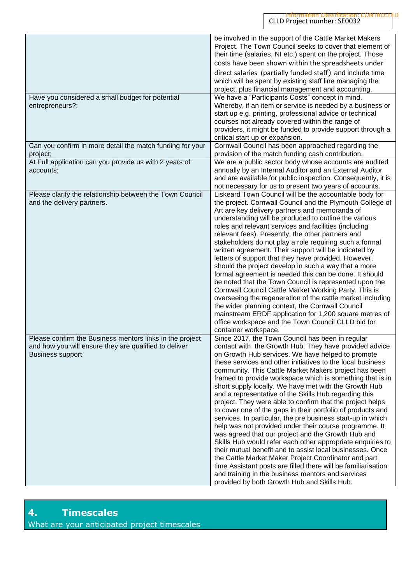|                                                                                                                                        | be involved in the support of the Cattle Market Makers<br>Project. The Town Council seeks to cover that element of<br>their time (salaries, NI etc.) spent on the project. Those<br>costs have been shown within the spreadsheets under<br>direct salaries (partially funded staff) and include time<br>which will be spent by existing staff line managing the<br>project, plus financial management and accounting.                                                                                                                                                                                                                                                                                                                                                                                                                                                                                                                                                                                                                                                                                                                    |
|----------------------------------------------------------------------------------------------------------------------------------------|------------------------------------------------------------------------------------------------------------------------------------------------------------------------------------------------------------------------------------------------------------------------------------------------------------------------------------------------------------------------------------------------------------------------------------------------------------------------------------------------------------------------------------------------------------------------------------------------------------------------------------------------------------------------------------------------------------------------------------------------------------------------------------------------------------------------------------------------------------------------------------------------------------------------------------------------------------------------------------------------------------------------------------------------------------------------------------------------------------------------------------------|
| Have you considered a small budget for potential<br>entrepreneurs?;                                                                    | We have a "Participants Costs" concept in mind.<br>Whereby, if an item or service is needed by a business or<br>start up e.g. printing, professional advice or technical<br>courses not already covered within the range of<br>providers, it might be funded to provide support through a<br>critical start up or expansion.                                                                                                                                                                                                                                                                                                                                                                                                                                                                                                                                                                                                                                                                                                                                                                                                             |
| Can you confirm in more detail the match funding for your<br>project;                                                                  | Cornwall Council has been approached regarding the<br>provision of the match funding cash contribution.                                                                                                                                                                                                                                                                                                                                                                                                                                                                                                                                                                                                                                                                                                                                                                                                                                                                                                                                                                                                                                  |
| At Full application can you provide us with 2 years of<br>accounts;                                                                    | We are a public sector body whose accounts are audited<br>annually by an Internal Auditor and an External Auditor<br>and are available for public inspection. Consequently, it is<br>not necessary for us to present two years of accounts.                                                                                                                                                                                                                                                                                                                                                                                                                                                                                                                                                                                                                                                                                                                                                                                                                                                                                              |
| Please clarify the relationship between the Town Council<br>and the delivery partners.                                                 | Liskeard Town Council will be the accountable body for<br>the project. Cornwall Council and the Plymouth College of<br>Art are key delivery partners and memoranda of<br>understanding will be produced to outline the various<br>roles and relevant services and facilities (including<br>relevant fees). Presently, the other partners and<br>stakeholders do not play a role requiring such a formal<br>written agreement. Their support will be indicated by<br>letters of support that they have provided. However,<br>should the project develop in such a way that a more<br>formal agreement is needed this can be done. It should<br>be noted that the Town Council is represented upon the<br>Cornwall Council Cattle Market Working Party. This is<br>overseeing the regeneration of the cattle market including<br>the wider planning context, the Cornwall Council<br>mainstream ERDF application for 1,200 square metres of<br>office workspace and the Town Council CLLD bid for<br>container workspace.                                                                                                                  |
| Please confirm the Business mentors links in the project<br>and how you will ensure they are qualified to deliver<br>Business support. | Since 2017, the Town Council has been in regular<br>contact with the Growth Hub. They have provided advice<br>on Growth Hub services. We have helped to promote<br>these services and other initiatives to the local business<br>community. This Cattle Market Makers project has been<br>framed to provide workspace which is something that is in<br>short supply locally. We have met with the Growth Hub<br>and a representative of the Skills Hub regarding this<br>project. They were able to confirm that the project helps<br>to cover one of the gaps in their portfolio of products and<br>services. In particular, the pre business start-up in which<br>help was not provided under their course programme. It<br>was agreed that our project and the Growth Hub and<br>Skills Hub would refer each other appropriate enquiries to<br>their mutual benefit and to assist local businesses. Once<br>the Cattle Market Maker Project Coordinator and part<br>time Assistant posts are filled there will be familiarisation<br>and training in the business mentors and services<br>provided by both Growth Hub and Skills Hub. |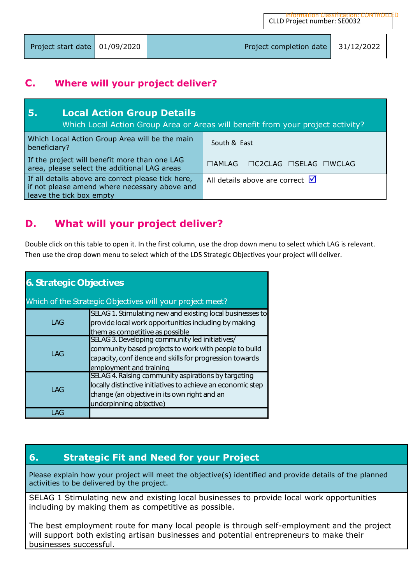| Project start date $\vert$ 01/09/2020 | Project completion date | 131/12/2022 |
|---------------------------------------|-------------------------|-------------|
|                                       |                         |             |

### **C. Where will your project deliver?**

| -5.<br><b>Local Action Group Details</b>                                                                                        | Which Local Action Group Area or Areas will benefit from your project activity? |  |  |  |
|---------------------------------------------------------------------------------------------------------------------------------|---------------------------------------------------------------------------------|--|--|--|
| Which Local Action Group Area will be the main<br>South & East<br>beneficiary?                                                  |                                                                                 |  |  |  |
| If the project will benefit more than one LAG<br>area, please select the additional LAG areas                                   | $\Box$ AMLAG $\Box$ C2CLAG $\Box$ SELAG $\Box$ WCLAG                            |  |  |  |
| If all details above are correct please tick here,<br>if not please amend where necessary above and<br>leave the tick box empty | All details above are correct $\blacksquare$                                    |  |  |  |

## **D. What will your project deliver?**

Double click on this table to open it. In the first column, use the drop down menu to select which LAG is relevant. Then use the drop down menu to select which of the LDS Strategic Objectives your project will deliver.

| <b>6. Strategic Objectives</b> |                                                                                                                                                                                               |  |  |
|--------------------------------|-----------------------------------------------------------------------------------------------------------------------------------------------------------------------------------------------|--|--|
|                                | Which of the Strategic Objectives will your project meet?                                                                                                                                     |  |  |
| LAG                            | SELAG 1. Stimulating new and existing local businesses to<br>provide local work opportunities including by making<br>them as competitive as possible                                          |  |  |
| LAG                            | SELAG 3. Developing community led initiatives/<br>community based projects to work with people to build<br>capacity, conf dence and skills for progression towards<br>employment and training |  |  |
| LAG                            | SELAG 4. Raising community aspirations by targeting<br>locally distinctive initiatives to achieve an economic step<br>change (an objective in its own right and an<br>underpinning objective) |  |  |
| AG                             |                                                                                                                                                                                               |  |  |

## **6. Strategic Fit and Need for your Project**

Please explain how your project will meet the objective(s) identified and provide details of the planned activities to be delivered by the project.

SELAG 1 Stimulating new and existing local businesses to provide local work opportunities including by making them as competitive as possible.

The best employment route for many local people is through self-employment and the project will support both existing artisan businesses and potential entrepreneurs to make their businesses successful.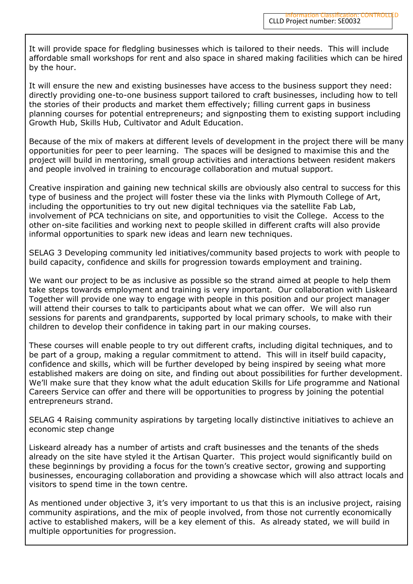It will provide space for fledgling businesses which is tailored to their needs. This will include affordable small workshops for rent and also space in shared making facilities which can be hired by the hour.

It will ensure the new and existing businesses have access to the business support they need: directly providing one-to-one business support tailored to craft businesses, including how to tell the stories of their products and market them effectively; filling current gaps in business planning courses for potential entrepreneurs; and signposting them to existing support including Growth Hub, Skills Hub, Cultivator and Adult Education.

Because of the mix of makers at different levels of development in the project there will be many opportunities for peer to peer learning. The spaces will be designed to maximise this and the project will build in mentoring, small group activities and interactions between resident makers and people involved in training to encourage collaboration and mutual support.

Creative inspiration and gaining new technical skills are obviously also central to success for this type of business and the project will foster these via the links with Plymouth College of Art, including the opportunities to try out new digital techniques via the satellite Fab Lab, involvement of PCA technicians on site, and opportunities to visit the College. Access to the other on-site facilities and working next to people skilled in different crafts will also provide informal opportunities to spark new ideas and learn new techniques.

SELAG 3 Developing community led initiatives/community based projects to work with people to build capacity, confidence and skills for progression towards employment and training.

We want our project to be as inclusive as possible so the strand aimed at people to help them take steps towards employment and training is very important. Our collaboration with Liskeard Together will provide one way to engage with people in this position and our project manager will attend their courses to talk to participants about what we can offer. We will also run sessions for parents and grandparents, supported by local primary schools, to make with their children to develop their confidence in taking part in our making courses.

These courses will enable people to try out different crafts, including digital techniques, and to be part of a group, making a regular commitment to attend. This will in itself build capacity, confidence and skills, which will be further developed by being inspired by seeing what more established makers are doing on site, and finding out about possibilities for further development. We'll make sure that they know what the adult education Skills for Life programme and National Careers Service can offer and there will be opportunities to progress by joining the potential entrepreneurs strand.

SELAG 4 Raising community aspirations by targeting locally distinctive initiatives to achieve an economic step change

Liskeard already has a number of artists and craft businesses and the tenants of the sheds already on the site have styled it the Artisan Quarter. This project would significantly build on these beginnings by providing a focus for the town's creative sector, growing and supporting businesses, encouraging collaboration and providing a showcase which will also attract locals and visitors to spend time in the town centre.

As mentioned under objective 3, it's very important to us that this is an inclusive project, raising community aspirations, and the mix of people involved, from those not currently economically active to established makers, will be a key element of this. As already stated, we will build in multiple opportunities for progression.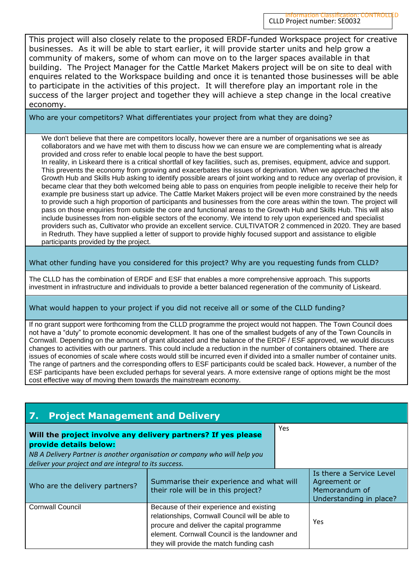This project will also closely relate to the proposed ERDF-funded Workspace project for creative businesses. As it will be able to start earlier, it will provide starter units and help grow a community of makers, some of whom can move on to the larger spaces available in that building. The Project Manager for the Cattle Market Makers project will be on site to deal with enquires related to the Workspace building and once it is tenanted those businesses will be able to participate in the activities of this project. It will therefore play an important role in the success of the larger project and together they will achieve a step change in the local creative economy.

Who are your competitors? What differentiates your project from what they are doing?

We don't believe that there are competitors locally, however there are a number of organisations we see as collaborators and we have met with them to discuss how we can ensure we are complementing what is already provided and cross refer to enable local people to have the best support.

In reality, in Liskeard there is a critical shortfall of key facilities, such as, premises, equipment, advice and support. This prevents the economy from growing and exacerbates the issues of deprivation. When we approached the Growth Hub and Skills Hub asking to identify possible arears of joint working and to reduce any overlap of provision, it became clear that they both welcomed being able to pass on enquiries from people ineligible to receive their help for example pre business start up advice. The Cattle Market Makers project will be even more constrained by the needs to provide such a high proportion of participants and businesses from the core areas within the town. The project will pass on those enquiries from outside the core and functional areas to the Growth Hub and Skills Hub. This will also include businesses from non-eligible sectors of the economy. We intend to rely upon experienced and specialist providers such as, Cultivator who provide an excellent service. CULTIVATOR 2 commenced in 2020. They are based in Redruth. They have supplied a letter of support to provide highly focused support and assistance to eligible participants provided by the project.

What other funding have you considered for this project? Why are you requesting funds from CLLD?

The CLLD has the combination of ERDF and ESF that enables a more comprehensive approach. This supports investment in infrastructure and individuals to provide a better balanced regeneration of the community of Liskeard.

### What would happen to your project if you did not receive all or some of the CLLD funding?

If no grant support were forthcoming from the CLLD programme the project would not happen. The Town Council does not have a "duty" to promote economic development. It has one of the smallest budgets of any of the Town Councils in Cornwall. Depending on the amount of grant allocated and the balance of the ERDF / ESF approved, we would discuss changes to activities with our partners. This could include a reduction in the number of containers obtained. There are issues of economies of scale where costs would still be incurred even if divided into a smaller number of container units. The range of partners and the corresponding offers to ESF participants could be scaled back. However, a number of the ESF participants have been excluded perhaps for several years. A more extensive range of options might be the most cost effective way of moving them towards the mainstream economy.

| 7.<br><b>Project Management and Delivery</b>                                                                                                                                                                                   |                                                                                                                                                                                                                                        |     |                                                                                      |  |  |  |
|--------------------------------------------------------------------------------------------------------------------------------------------------------------------------------------------------------------------------------|----------------------------------------------------------------------------------------------------------------------------------------------------------------------------------------------------------------------------------------|-----|--------------------------------------------------------------------------------------|--|--|--|
| Will the project involve any delivery partners? If yes please<br>provide details below:<br>NB A Delivery Partner is another organisation or company who will help you<br>deliver your project and are integral to its success. |                                                                                                                                                                                                                                        | Yes |                                                                                      |  |  |  |
| Summarise their experience and what will<br>Who are the delivery partners?<br>their role will be in this project?                                                                                                              |                                                                                                                                                                                                                                        |     | Is there a Service Level<br>Agreement or<br>Memorandum of<br>Understanding in place? |  |  |  |
| <b>Cornwall Council</b>                                                                                                                                                                                                        | Because of their experience and existing<br>relationships, Cornwall Council will be able to<br>procure and deliver the capital programme<br>element. Cornwall Council is the landowner and<br>they will provide the match funding cash |     | Yes                                                                                  |  |  |  |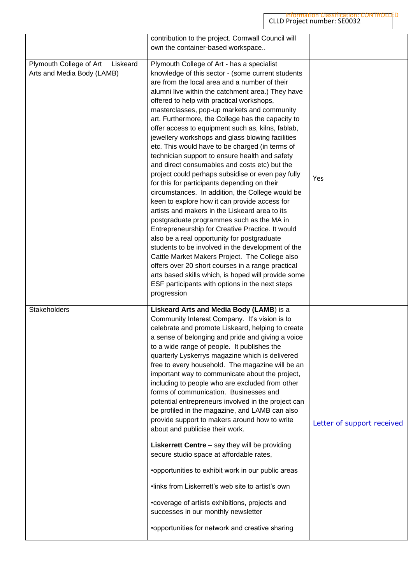|                                                                   | contribution to the project. Cornwall Council will<br>own the container-based workspace                                                                                                                                                                                                                                                                                                                                                                                                                                                                                                                                                                                                                                                                                                                                                                                                                                                                                                                                                                                                                                                                                                                                                                                                                                |                            |
|-------------------------------------------------------------------|------------------------------------------------------------------------------------------------------------------------------------------------------------------------------------------------------------------------------------------------------------------------------------------------------------------------------------------------------------------------------------------------------------------------------------------------------------------------------------------------------------------------------------------------------------------------------------------------------------------------------------------------------------------------------------------------------------------------------------------------------------------------------------------------------------------------------------------------------------------------------------------------------------------------------------------------------------------------------------------------------------------------------------------------------------------------------------------------------------------------------------------------------------------------------------------------------------------------------------------------------------------------------------------------------------------------|----------------------------|
| Plymouth College of Art<br>Liskeard<br>Arts and Media Body (LAMB) | Plymouth College of Art - has a specialist<br>knowledge of this sector - (some current students<br>are from the local area and a number of their<br>alumni live within the catchment area.) They have<br>offered to help with practical workshops,<br>masterclasses, pop-up markets and community<br>art. Furthermore, the College has the capacity to<br>offer access to equipment such as, kilns, fablab,<br>jewellery workshops and glass blowing facilities<br>etc. This would have to be charged (in terms of<br>technician support to ensure health and safety<br>and direct consumables and costs etc) but the<br>project could perhaps subsidise or even pay fully<br>for this for participants depending on their<br>circumstances. In addition, the College would be<br>keen to explore how it can provide access for<br>artists and makers in the Liskeard area to its<br>postgraduate programmes such as the MA in<br>Entrepreneurship for Creative Practice. It would<br>also be a real opportunity for postgraduate<br>students to be involved in the development of the<br>Cattle Market Makers Project. The College also<br>offers over 20 short courses in a range practical<br>arts based skills which, is hoped will provide some<br>ESF participants with options in the next steps<br>progression | Yes                        |
| Stakeholders                                                      | Liskeard Arts and Media Body (LAMB) is a<br>Community Interest Company. It's vision is to<br>celebrate and promote Liskeard, helping to create<br>a sense of belonging and pride and giving a voice<br>to a wide range of people. It publishes the<br>quarterly Lyskerrys magazine which is delivered<br>free to every household. The magazine will be an<br>important way to communicate about the project,<br>including to people who are excluded from other<br>forms of communication. Businesses and<br>potential entrepreneurs involved in the project can<br>be profiled in the magazine, and LAMB can also<br>provide support to makers around how to write<br>about and publicise their work.<br><b>Liskerrett Centre</b> – say they will be providing<br>secure studio space at affordable rates,<br>•opportunities to exhibit work in our public areas<br>.links from Liskerrett's web site to artist's own<br>•coverage of artists exhibitions, projects and<br>successes in our monthly newsletter<br>•opportunities for network and creative sharing                                                                                                                                                                                                                                                     | Letter of support received |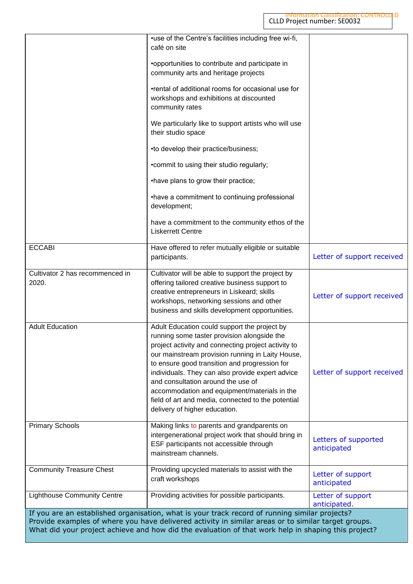|                                          | •use of the Centre's facilities including free wi-fi,<br>café on site                                                                                                                                                                                                                                                                                                                                                                                                                    |                                     |
|------------------------------------------|------------------------------------------------------------------------------------------------------------------------------------------------------------------------------------------------------------------------------------------------------------------------------------------------------------------------------------------------------------------------------------------------------------------------------------------------------------------------------------------|-------------------------------------|
|                                          | •opportunities to contribute and participate in<br>community arts and heritage projects                                                                                                                                                                                                                                                                                                                                                                                                  |                                     |
|                                          | •rental of additional rooms for occasional use for<br>workshops and exhibitions at discounted<br>community rates                                                                                                                                                                                                                                                                                                                                                                         |                                     |
|                                          | We particularly like to support artists who will use<br>their studio space                                                                                                                                                                                                                                                                                                                                                                                                               |                                     |
|                                          | •to develop their practice/business;                                                                                                                                                                                                                                                                                                                                                                                                                                                     |                                     |
|                                          | • commit to using their studio regularly;                                                                                                                                                                                                                                                                                                                                                                                                                                                |                                     |
|                                          | •have plans to grow their practice;                                                                                                                                                                                                                                                                                                                                                                                                                                                      |                                     |
|                                          | •have a commitment to continuing professional<br>development;                                                                                                                                                                                                                                                                                                                                                                                                                            |                                     |
|                                          | have a commitment to the community ethos of the<br><b>Liskerrett Centre</b>                                                                                                                                                                                                                                                                                                                                                                                                              |                                     |
| <b>ECCABI</b>                            | Have offered to refer mutually eligible or suitable<br>participants.                                                                                                                                                                                                                                                                                                                                                                                                                     | Letter of support received          |
| Cultivator 2 has recommenced in<br>2020. | Cultivator will be able to support the project by<br>offering tailored creative business support to<br>creative entrepreneurs in Liskeard; skills<br>workshops, networking sessions and other<br>business and skills development opportunities.                                                                                                                                                                                                                                          | Letter of support received          |
| <b>Adult Education</b>                   | Adult Education could support the project by<br>running some taster provision alongside the<br>project activity and connecting project activity to<br>our mainstream provision running in Laity House,<br>to ensure good transition and progression for<br>individuals. They can also provide expert advice<br>and consultation around the use of<br>accommodation and equipment/materials in the<br>field of art and media, connected to the potential<br>delivery of higher education. | Letter of support received          |
| <b>Primary Schools</b>                   | Making links to parents and grandparents on<br>intergenerational project work that should bring in<br>ESF participants not accessible through<br>mainstream channels.                                                                                                                                                                                                                                                                                                                    | Letters of supported<br>anticipated |
| <b>Community Treasure Chest</b>          | Providing upcycled materials to assist with the<br>craft workshops                                                                                                                                                                                                                                                                                                                                                                                                                       | Letter of support<br>anticipated    |
| <b>Lighthouse Community Centre</b>       | Providing activities for possible participants.                                                                                                                                                                                                                                                                                                                                                                                                                                          | Letter of support<br>anticipated.   |
|                                          | If you are an established organisation, what is your track record of running similar projects?<br>Provide examples of where you have delivered activity in similar areas or to similar target groups.<br>What did your project achieve and how did the evaluation of that work help in shaping this project?                                                                                                                                                                             |                                     |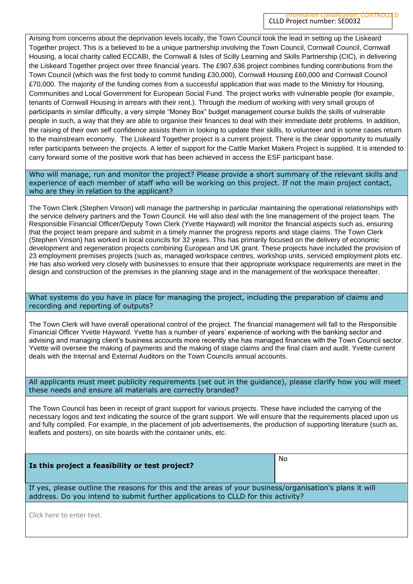Arising from concerns about the deprivation levels locally, the Town Council took the lead in setting up the Liskeard Together project. This is a believed to be a unique partnership involving the Town Council, Cornwall Council, Cornwall Housing, a local charity called ECCABI, the Cornwall & Isles of Scilly Learning and Skills Partnership (CIC), in delivering the Liskeard Together project over three financial years. The £907,636 project combines funding contributions from the Town Council (which was the first body to commit funding £30,000), Cornwall Housing £60,000 and Cornwall Council £70,000. The majority of the funding comes from a successful application that was made to the Ministry for Housing, Communities and Local Government for European Social Fund. The project works with vulnerable people (for example, tenants of Cornwall Housing in arrears with their rent.). Through the medium of working with very small groups of participants in similar difficulty, a very simple "Money Box" budget management course builds the skills of vulnerable people in such, a way that they are able to organise their finances to deal with their immediate debt problems. In addition, the raising of their own self confidence assists them in looking to update their skills, to volunteer and in some cases return to the mainstream economy. The Liskeard Together project is a current project. There is the clear opportunity to mutually refer participants between the projects. A letter of support for the Cattle Market Makers Project is supplied. It is intended to carry forward some of the positive work that has been achieved in access the ESF participant base.

Who will manage, run and monitor the project? Please provide a short summary of the relevant skills and experience of each member of staff who will be working on this project. If not the main project contact, who are they in relation to the applicant?

The Town Clerk (Stephen Vinson) will manage the partnership in particular maintaining the operational relationships with the service delivery partners and the Town Council. He will also deal with the line management of the project team. The Responsible Financial Officer/Deputy Town Clerk (Yvette Hayward) will monitor the financial aspects such as, ensuring that the project team prepare and submit in a timely manner the progress reports and stage claims. The Town Clerk (Stephen Vinson) has worked in local councils for 32 years. This has primarily focused on the delivery of economic development and regeneration projects combining European and UK grant. These projects have included the provision of 23 employment premises projects (such as, managed workspace centres, workshop units, serviced employment plots etc. He has also worked very closely with businesses to ensure that their appropriate workspace requirements are meet in the design and construction of the premises in the planning stage and in the management of the workspace thereafter.

What systems do you have in place for managing the project, including the preparation of claims and recording and reporting of outputs?

The Town Clerk will have overall operational control of the project. The financial management will fall to the Responsible Financial Officer Yvette Hayward. Yvette has a number of years' experience of working with the banking sector and advising and managing client's business accounts more recently she has managed finances with the Town Council sector. Yvette will oversee the making of payments and the making of stage claims and the final claim and audit. Yvette current deals with the Internal and External Auditors on the Town Councils annual accounts.

All applicants must meet publicity requirements (set out in the guidance), please clarify how you will meet these needs and ensure all materials are correctly branded?

The Town Council has been in receipt of grant support for various projects. These have included the carrying of the necessary logos and text indicating the source of the grant support. We will ensure that the requirements placed upon us and fully compiled. For example, in the placement of job advertisements, the production of supporting literature (such as, leaflets and posters), on site boards with the container units, etc.

| Is this project a feasibility or test project?                                                                                                                                              | No. |  |  |  |  |
|---------------------------------------------------------------------------------------------------------------------------------------------------------------------------------------------|-----|--|--|--|--|
| If yes, please outline the reasons for this and the areas of your business/organisation's plans it will<br>address. Do you intend to submit further applications to CLLD for this activity? |     |  |  |  |  |
| Click horo to optar tout                                                                                                                                                                    |     |  |  |  |  |

Click here to enter text.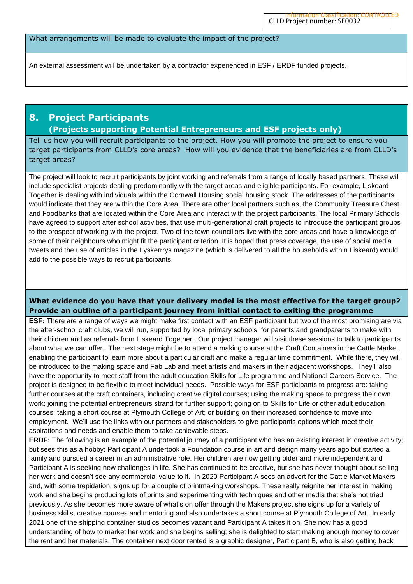#### What arrangements will be made to evaluate the impact of the project?

An external assessment will be undertaken by a contractor experienced in ESF / ERDF funded projects.

### **8. Project Participants (Projects supporting Potential Entrepreneurs and ESF projects only)**

Tell us how you will recruit participants to the project. How you will promote the project to ensure you target participants from CLLD's core areas? How will you evidence that the beneficiaries are from CLLD's target areas?

The project will look to recruit participants by joint working and referrals from a range of locally based partners. These will include specialist projects dealing predominantly with the target areas and eligible participants. For example, Liskeard Together is dealing with individuals within the Cornwall Housing social housing stock. The addresses of the participants would indicate that they are within the Core Area. There are other local partners such as, the Community Treasure Chest and Foodbanks that are located within the Core Area and interact with the project participants. The local Primary Schools have agreed to support after school activities, that use multi-generational craft projects to introduce the participant groups to the prospect of working with the project. Two of the town councillors live with the core areas and have a knowledge of some of their neighbours who might fit the participant criterion. It is hoped that press coverage, the use of social media tweets and the use of articles in the Lyskerrrys magazine (which is delivered to all the households within Liskeard) would add to the possible ways to recruit participants.

#### **What evidence do you have that your delivery model is the most effective for the target group? Provide an outline of a participant journey from initial contact to exiting the programme**

**ESF:** There are a range of ways we might make first contact with an ESF participant but two of the most promising are via the after-school craft clubs, we will run, supported by local primary schools, for parents and grandparents to make with their children and as referrals from Liskeard Together. Our project manager will visit these sessions to talk to participants about what we can offer. The next stage might be to attend a making course at the Craft Containers in the Cattle Market, enabling the participant to learn more about a particular craft and make a regular time commitment. While there, they will be introduced to the making space and Fab Lab and meet artists and makers in their adjacent workshops. They'll also have the opportunity to meet staff from the adult education Skills for Life programme and National Careers Service. The project is designed to be flexible to meet individual needs. Possible ways for ESF participants to progress are: taking further courses at the craft containers, including creative digital courses; using the making space to progress their own work; joining the potential entrepreneurs strand for further support; going on to Skills for Life or other adult education courses; taking a short course at Plymouth College of Art; or building on their increased confidence to move into employment. We'll use the links with our partners and stakeholders to give participants options which meet their aspirations and needs and enable them to take achievable steps.

**ERDF:** The following is an example of the potential journey of a participant who has an existing interest in creative activity; but sees this as a hobby: Participant A undertook a Foundation course in art and design many years ago but started a family and pursued a career in an administrative role. Her children are now getting older and more independent and Participant A is seeking new challenges in life. She has continued to be creative, but she has never thought about selling her work and doesn't see any commercial value to it. In 2020 Participant A sees an advert for the Cattle Market Makers and, with some trepidation, signs up for a couple of printmaking workshops. These really reignite her interest in making work and she begins producing lots of prints and experimenting with techniques and other media that she's not tried previously. As she becomes more aware of what's on offer through the Makers project she signs up for a variety of business skills, creative courses and mentoring and also undertakes a short course at Plymouth College of Art. In early 2021 one of the shipping container studios becomes vacant and Participant A takes it on. She now has a good understanding of how to market her work and she begins selling; she is delighted to start making enough money to cover the rent and her materials. The container next door rented is a graphic designer, Participant B, who is also getting back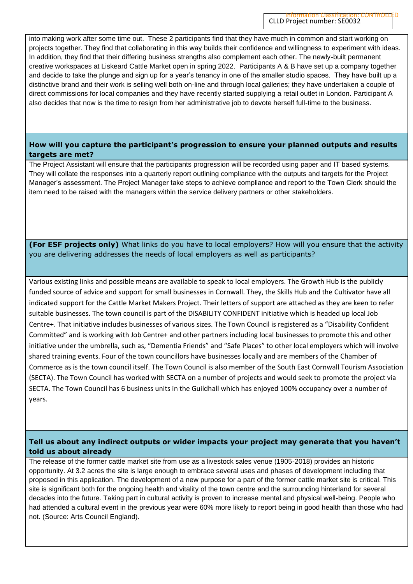into making work after some time out. These 2 participants find that they have much in common and start working on projects together. They find that collaborating in this way builds their confidence and willingness to experiment with ideas. In addition, they find that their differing business strengths also complement each other. The newly-built permanent creative workspaces at Liskeard Cattle Market open in spring 2022. Participants A & B have set up a company together and decide to take the plunge and sign up for a year's tenancy in one of the smaller studio spaces. They have built up a distinctive brand and their work is selling well both on-line and through local galleries; they have undertaken a couple of direct commissions for local companies and they have recently started supplying a retail outlet in London. Participant A also decides that now is the time to resign from her administrative job to devote herself full-time to the business.

#### **How will you capture the participant's progression to ensure your planned outputs and results targets are met?**

The Project Assistant will ensure that the participants progression will be recorded using paper and IT based systems. They will collate the responses into a quarterly report outlining compliance with the outputs and targets for the Project Manager's assessment. The Project Manager take steps to achieve compliance and report to the Town Clerk should the item need to be raised with the managers within the service delivery partners or other stakeholders.

**(For ESF projects only)** What links do you have to local employers? How will you ensure that the activity you are delivering addresses the needs of local employers as well as participants?

Various existing links and possible means are available to speak to local employers. The Growth Hub is the publicly funded source of advice and support for small businesses in Cornwall. They, the Skills Hub and the Cultivator have all indicated support for the Cattle Market Makers Project. Their letters of support are attached as they are keen to refer suitable businesses. The town council is part of the DISABILITY CONFIDENT initiative which is headed up local Job Centre+. That initiative includes businesses of various sizes. The Town Council is registered as a "Disability Confident Committed" and is working with Job Centre+ and other partners including local businesses to promote this and other initiative under the umbrella, such as, "Dementia Friends" and "Safe Places" to other local employers which will involve shared training events. Four of the town councillors have businesses locally and are members of the Chamber of Commerce as is the town council itself. The Town Council is also member of the South East Cornwall Tourism Association (SECTA). The Town Council has worked with SECTA on a number of projects and would seek to promote the project via SECTA. The Town Council has 6 business units in the Guildhall which has enjoyed 100% occupancy over a number of years.

### **Tell us about any indirect outputs or wider impacts your project may generate that you haven't told us about already**

The release of the former cattle market site from use as a livestock sales venue (1905-2018) provides an historic opportunity. At 3.2 acres the site is large enough to embrace several uses and phases of development including that proposed in this application. The development of a new purpose for a part of the former cattle market site is critical. This site is significant both for the ongoing health and vitality of the town centre and the surrounding hinterland for several decades into the future. Taking part in cultural activity is proven to increase mental and physical well-being. People who had attended a cultural event in the previous year were 60% more likely to report being in good health than those who had not. (Source: Arts Council England).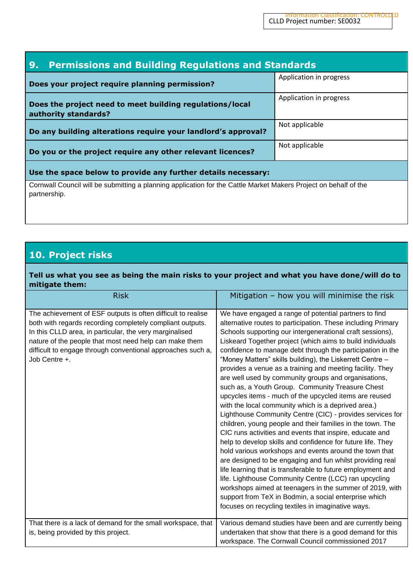| <b>Permissions and Building Regulations and Standards</b><br>9.                                                                  |                         |  |  |  |  |
|----------------------------------------------------------------------------------------------------------------------------------|-------------------------|--|--|--|--|
| Does your project require planning permission?                                                                                   | Application in progress |  |  |  |  |
| Does the project need to meet building regulations/local<br>authority standards?                                                 | Application in progress |  |  |  |  |
| Do any building alterations require your landlord's approval?                                                                    | Not applicable          |  |  |  |  |
| Do you or the project require any other relevant licences?                                                                       | Not applicable          |  |  |  |  |
| Use the space below to provide any further details necessary:                                                                    |                         |  |  |  |  |
| Cornwall Council will be submitting a planning application for the Cattle Market Makers Project on behalf of the<br>partnership. |                         |  |  |  |  |

## **10. Project risks**

**Tell us what you see as being the main risks to your project and what you have done/will do to mitigate them:**

| <b>Risk</b>                                                                                                                                                                                                                                                                                                                    | Mitigation - how you will minimise the risk                                                                                                                                                                                                                                                                                                                                                                                                                                                                                                                                                                                                                                                                                                                                                                                                                                                                                                                                                                                                                                                                                                                                                                                                                                                                                                           |
|--------------------------------------------------------------------------------------------------------------------------------------------------------------------------------------------------------------------------------------------------------------------------------------------------------------------------------|-------------------------------------------------------------------------------------------------------------------------------------------------------------------------------------------------------------------------------------------------------------------------------------------------------------------------------------------------------------------------------------------------------------------------------------------------------------------------------------------------------------------------------------------------------------------------------------------------------------------------------------------------------------------------------------------------------------------------------------------------------------------------------------------------------------------------------------------------------------------------------------------------------------------------------------------------------------------------------------------------------------------------------------------------------------------------------------------------------------------------------------------------------------------------------------------------------------------------------------------------------------------------------------------------------------------------------------------------------|
| The achievement of ESF outputs is often difficult to realise<br>both with regards recording completely compliant outputs.<br>In this CLLD area, in particular, the very marginalised<br>nature of the people that most need help can make them<br>difficult to engage through conventional approaches such a,<br>Job Centre +. | We have engaged a range of potential partners to find<br>alternative routes to participation. These including Primary<br>Schools supporting our intergenerational craft sessions),<br>Liskeard Together project (which aims to build individuals<br>confidence to manage debt through the participation in the<br>"Money Matters" skills building), the Liskerrett Centre -<br>provides a venue as a training and meeting facility. They<br>are well used by community groups and organisations,<br>such as, a Youth Group. Community Treasure Chest<br>upcycles items - much of the upcycled items are reused<br>with the local community which is a deprived area.)<br>Lighthouse Community Centre (CIC) - provides services for<br>children, young people and their families in the town. The<br>CIC runs activities and events that inspire, educate and<br>help to develop skills and confidence for future life. They<br>hold various workshops and events around the town that<br>are designed to be engaging and fun whilst providing real<br>life learning that is transferable to future employment and<br>life. Lighthouse Community Centre (LCC) ran upcycling<br>workshops aimed at teenagers in the summer of 2019, with<br>support from TeX in Bodmin, a social enterprise which<br>focuses on recycling textiles in imaginative ways. |
| That there is a lack of demand for the small workspace, that<br>is, being provided by this project.                                                                                                                                                                                                                            | Various demand studies have been and are currently being<br>undertaken that show that there is a good demand for this<br>workspace. The Cornwall Council commissioned 2017                                                                                                                                                                                                                                                                                                                                                                                                                                                                                                                                                                                                                                                                                                                                                                                                                                                                                                                                                                                                                                                                                                                                                                            |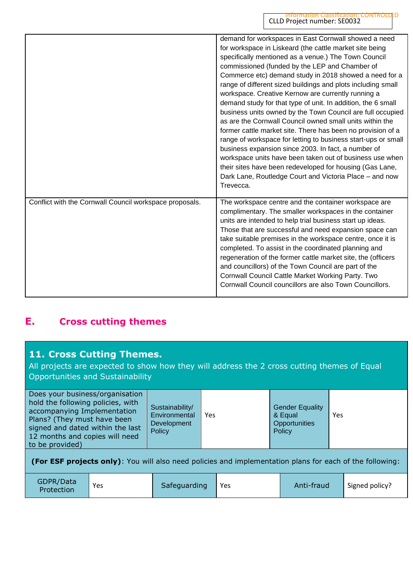|                                                         | demand for workspaces in East Cornwall showed a need<br>for workspace in Liskeard (the cattle market site being<br>specifically mentioned as a venue.) The Town Council<br>commissioned (funded by the LEP and Chamber of<br>Commerce etc) demand study in 2018 showed a need for a<br>range of different sized buildings and plots including small<br>workspace. Creative Kernow are currently running a<br>demand study for that type of unit. In addition, the 6 small<br>business units owned by the Town Council are full occupied<br>as are the Cornwall Council owned small units within the<br>former cattle market site. There has been no provision of a<br>range of workspace for letting to business start-ups or small<br>business expansion since 2003. In fact, a number of<br>workspace units have been taken out of business use when<br>their sites have been redeveloped for housing (Gas Lane,<br>Dark Lane, Routledge Court and Victoria Place - and now<br>Trevecca. |
|---------------------------------------------------------|--------------------------------------------------------------------------------------------------------------------------------------------------------------------------------------------------------------------------------------------------------------------------------------------------------------------------------------------------------------------------------------------------------------------------------------------------------------------------------------------------------------------------------------------------------------------------------------------------------------------------------------------------------------------------------------------------------------------------------------------------------------------------------------------------------------------------------------------------------------------------------------------------------------------------------------------------------------------------------------------|
| Conflict with the Cornwall Council workspace proposals. | The workspace centre and the container workspace are<br>complimentary. The smaller workspaces in the container<br>units are intended to help trial business start up ideas.<br>Those that are successful and need expansion space can<br>take suitable premises in the workspace centre, once it is<br>completed. To assist in the coordinated planning and<br>regeneration of the former cattle market site, the (officers<br>and councillors) of the Town Council are part of the<br>Cornwall Council Cattle Market Working Party. Two<br>Cornwall Council councillors are also Town Councillors.                                                                                                                                                                                                                                                                                                                                                                                        |

## **E. Cross cutting themes**

## **11. Cross Cutting Themes.**

All projects are expected to show how they will address the 2 cross cutting themes of Equal Opportunities and Sustainability

| GDPR/Data<br>Protection | Yes | Safeguarding | Yes | Anti-fraud | Signed policy? |
|-------------------------|-----|--------------|-----|------------|----------------|
|-------------------------|-----|--------------|-----|------------|----------------|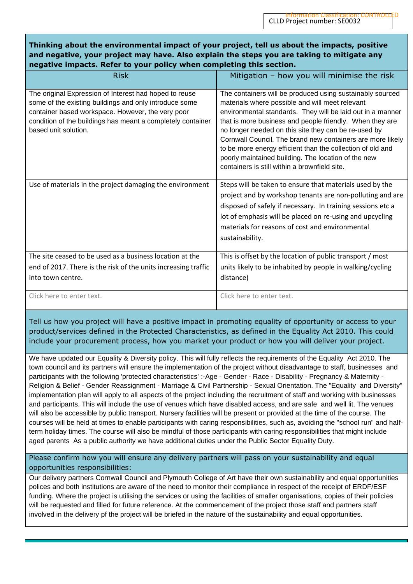### **Thinking about the environmental impact of your project, tell us about the impacts, positive and negative, your project may have. Also explain the steps you are taking to mitigate any negative impacts. Refer to your policy when completing this section.**

| <b>Risk</b>                                                                                                                                                                                                                                                  | Mitigation - how you will minimise the risk                                                                                                                                                                                                                                                                                                                                                                                                                                                                                        |
|--------------------------------------------------------------------------------------------------------------------------------------------------------------------------------------------------------------------------------------------------------------|------------------------------------------------------------------------------------------------------------------------------------------------------------------------------------------------------------------------------------------------------------------------------------------------------------------------------------------------------------------------------------------------------------------------------------------------------------------------------------------------------------------------------------|
| The original Expression of Interest had hoped to reuse<br>some of the existing buildings and only introduce some<br>container based workspace. However, the very poor<br>condition of the buildings has meant a completely container<br>based unit solution. | The containers will be produced using sustainably sourced<br>materials where possible and will meet relevant<br>environmental standards. They will be laid out in a manner<br>that is more business and people friendly. When they are<br>no longer needed on this site they can be re-used by<br>Cornwall Council. The brand new containers are more likely<br>to be more energy efficient than the collection of old and<br>poorly maintained building. The location of the new<br>containers is still within a brownfield site. |
| Use of materials in the project damaging the environment                                                                                                                                                                                                     | Steps will be taken to ensure that materials used by the<br>project and by workshop tenants are non-polluting and are<br>disposed of safely if necessary. In training sessions etc a<br>lot of emphasis will be placed on re-using and upcycling<br>materials for reasons of cost and environmental<br>sustainability.                                                                                                                                                                                                             |
| The site ceased to be used as a business location at the<br>end of 2017. There is the risk of the units increasing traffic<br>into town centre.                                                                                                              | This is offset by the location of public transport / most<br>units likely to be inhabited by people in walking/cycling<br>distance)                                                                                                                                                                                                                                                                                                                                                                                                |
| Click here to enter text.                                                                                                                                                                                                                                    | Click here to enter text.                                                                                                                                                                                                                                                                                                                                                                                                                                                                                                          |

Tell us how you project will have a positive impact in promoting equality of opportunity or access to your product/services defined in the Protected Characteristics, as defined in the Equality Act 2010. This could include your procurement process, how you market your product or how you will deliver your project.

We have updated our Equality & Diversity policy. This will fully reflects the requirements of the Equality Act 2010. The town council and its partners will ensure the implementation of the project without disadvantage to staff, businesses and participants with the following 'protected characteristics' :-Age - Gender - Race - Disability - Pregnancy & Maternity - Religion & Belief - Gender Reassignment - Marriage & Civil Partnership - Sexual Orientation. The "Equality and Diversity" implementation plan will apply to all aspects of the project including the recruitment of staff and working with businesses and participants. This will include the use of venues which have disabled access, and are safe and well lit. The venues will also be accessible by public transport. Nursery facilities will be present or provided at the time of the course. The courses will be held at times to enable participants with caring responsibilities, such as, avoiding the "school run" and halfterm holiday times. The course will also be mindful of those participants with caring responsibilities that might include aged parents As a public authority we have additional duties under the Public Sector Equality Duty.

Please confirm how you will ensure any delivery partners will pass on your sustainability and equal opportunities responsibilities:

Our delivery partners Cornwall Council and Plymouth College of Art have their own sustainability and equal opportunities polices and both institutions are aware of the need to monitor their compliance in respect of the receipt of ERDF/ESF funding. Where the project is utilising the services or using the facilities of smaller organisations, copies of their policies will be requested and filled for future reference. At the commencement of the project those staff and partners staff involved in the delivery pf the project will be briefed in the nature of the sustainability and equal opportunities.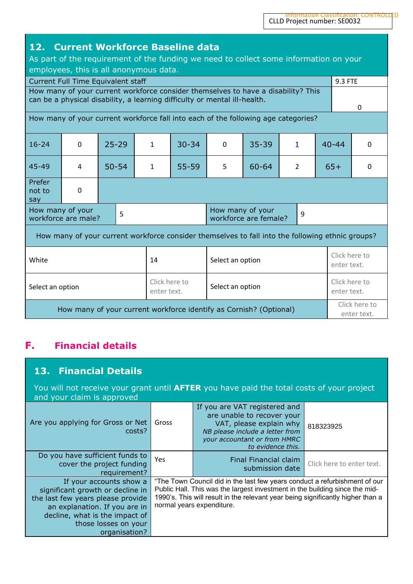| 12. Current Workforce Baseline data<br>As part of the requirement of the funding we need to collect some information on your<br>employees, this is all anonymous data.<br>9.3 FTE<br>Current Full Time Equivalent staff |          |           |              |                                                                                                                                                                |          |                              |                              |                              |  |              |
|-------------------------------------------------------------------------------------------------------------------------------------------------------------------------------------------------------------------------|----------|-----------|--------------|----------------------------------------------------------------------------------------------------------------------------------------------------------------|----------|------------------------------|------------------------------|------------------------------|--|--------------|
|                                                                                                                                                                                                                         |          |           |              | How many of your current workforce consider themselves to have a disability? This<br>can be a physical disability, a learning difficulty or mental ill-health. |          |                              |                              |                              |  | $\mathbf{0}$ |
|                                                                                                                                                                                                                         |          |           |              | How many of your current workforce fall into each of the following age categories?                                                                             |          |                              |                              |                              |  |              |
| $16 - 24$                                                                                                                                                                                                               | $\Omega$ | $25 - 29$ | $\mathbf{1}$ | $30 - 34$                                                                                                                                                      | $\Omega$ | $35 - 39$                    | $\mathbf{1}$                 | $40 - 44$<br>$\Omega$        |  |              |
| 45-49                                                                                                                                                                                                                   | 4        | $50 - 54$ | $\mathbf{1}$ | $55 - 59$                                                                                                                                                      | 5        | $60 - 64$                    | $65+$<br>$\overline{2}$      |                              |  | $\Omega$     |
| Prefer<br>not to<br>say                                                                                                                                                                                                 | 0        |           |              |                                                                                                                                                                |          |                              |                              |                              |  |              |
| How many of your<br>How many of your<br>5<br>9<br>workforce are male?<br>workforce are female?                                                                                                                          |          |           |              |                                                                                                                                                                |          |                              |                              |                              |  |              |
| How many of your current workforce consider themselves to fall into the following ethnic groups?                                                                                                                        |          |           |              |                                                                                                                                                                |          |                              |                              |                              |  |              |
| White                                                                                                                                                                                                                   |          |           | 14           | Select an option                                                                                                                                               |          |                              |                              | Click here to<br>enter text. |  |              |
| Click here to<br>Select an option<br>Select an option<br>enter text.                                                                                                                                                    |          |           |              |                                                                                                                                                                |          | Click here to<br>enter text. |                              |                              |  |              |
| How many of your current workforce identify as Cornish? (Optional)                                                                                                                                                      |          |           |              |                                                                                                                                                                |          |                              | Click here to<br>enter text. |                              |  |              |

## **F. Financial details**

## **13. Financial Details**

You will not receive your grant until **AFTER** you have paid the total costs of your project and your claim is approved

| Are you applying for Gross or Net<br>costs?                                                                                                                                                                  | Gross | If you are VAT registered and<br>are unable to recover your<br>VAT, please explain why<br>NB please include a letter from<br>your accountant or from HMRC<br>to evidence this.                                                                                            | 818323925                 |
|--------------------------------------------------------------------------------------------------------------------------------------------------------------------------------------------------------------|-------|---------------------------------------------------------------------------------------------------------------------------------------------------------------------------------------------------------------------------------------------------------------------------|---------------------------|
| Do you have sufficient funds to<br>cover the project funding<br>requirement?                                                                                                                                 | Yes   | Final Financial claim<br>submission date                                                                                                                                                                                                                                  | Click here to enter text. |
| If your accounts show a<br>significant growth or decline in<br>the last few years please provide<br>an explanation. If you are in<br>decline, what is the impact of<br>those losses on your<br>organisation? |       | "The Town Council did in the last few years conduct a refurbishment of our<br>Public Hall. This was the largest investment in the building since the mid-<br>1990's. This will result in the relevant year being significantly higher than a<br>normal years expenditure. |                           |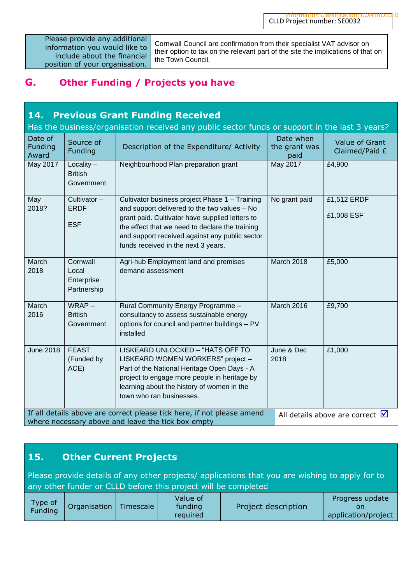Please provide any additional information you would like to include about the financial position of your organisation.

Cornwall Council are confirmation from their specialist VAT advisor on their option to tax on the relevant part of the site the implications of that on the Town Council.

## **G. Other Funding / Projects you have**

| <b>14. Previous Grant Funding Received</b><br>Has the business/organisation received any public sector funds or support in the last 3 years? |                                                |                                                                                                                                                                                                                                                                                               |                                    |                                               |
|----------------------------------------------------------------------------------------------------------------------------------------------|------------------------------------------------|-----------------------------------------------------------------------------------------------------------------------------------------------------------------------------------------------------------------------------------------------------------------------------------------------|------------------------------------|-----------------------------------------------|
| Date of<br>Funding<br>Award                                                                                                                  | Source of<br>Funding                           | Description of the Expenditure/ Activity                                                                                                                                                                                                                                                      | Date when<br>the grant was<br>paid | Value of Grant<br>Claimed/Paid £              |
| May 2017                                                                                                                                     | Locality $-$<br><b>British</b><br>Government   | Neighbourhood Plan preparation grant                                                                                                                                                                                                                                                          | May 2017                           | £4,900                                        |
| May<br>2018?                                                                                                                                 | Cultivator -<br><b>ERDF</b><br><b>ESF</b>      | Cultivator business project Phase 1 - Training<br>and support delivered to the two values - No<br>grant paid. Cultivator have supplied letters to<br>the effect that we need to declare the training<br>and support received against any public sector<br>funds received in the next 3 years. | No grant paid                      | £1,512 ERDF<br>£1,008 ESF                     |
| March<br>2018                                                                                                                                | Cornwall<br>Local<br>Enterprise<br>Partnership | Agri-hub Employment land and premises<br>demand assessment                                                                                                                                                                                                                                    | March 2018                         | £5,000                                        |
| March<br>2016                                                                                                                                | $WRAP -$<br><b>British</b><br>Government       | Rural Community Energy Programme -<br>consultancy to assess sustainable energy<br>options for council and partner buildings - PV<br>installed                                                                                                                                                 | March 2016                         | £9,700                                        |
| <b>June 2018</b>                                                                                                                             | <b>FEAST</b><br>(Funded by<br>ACE)             | LISKEARD UNLOCKED - "HATS OFF TO<br>LISKEARD WOMEN WORKERS" project -<br>Part of the National Heritage Open Days - A<br>project to engage more people in heritage by<br>learning about the history of women in the<br>town who ran businesses.                                                | June & Dec<br>2018                 | £1,000                                        |
|                                                                                                                                              |                                                | If all details above are correct please tick here, if not please amend<br>where necessary above and leave the tick box empty                                                                                                                                                                  |                                    | All details above are correct $\triangledown$ |

## **15. Other Current Projects**

Please provide details of any other projects/ applications that you are wishing to apply for to any other funder or CLLD before this project will be completed

| Type of<br>Organisation<br>Timescale<br>Funding | Value of<br>funding<br>required | Project description | Progress update<br>on<br>application/project |
|-------------------------------------------------|---------------------------------|---------------------|----------------------------------------------|
|-------------------------------------------------|---------------------------------|---------------------|----------------------------------------------|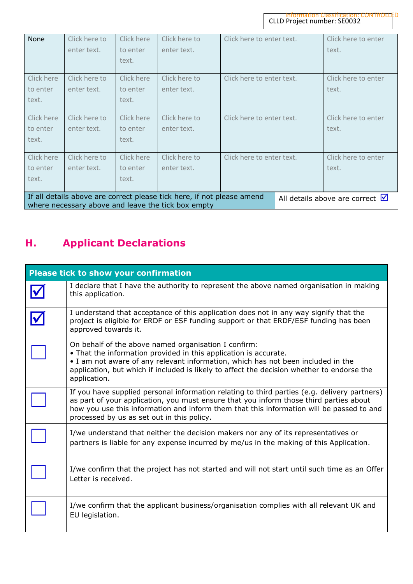| None                                                                                                                                                                         | Click here to<br>enter text. | Click here<br>to enter<br>text. | Click here to<br>enter text. | Click here to enter text. | Click here to enter<br>text. |
|------------------------------------------------------------------------------------------------------------------------------------------------------------------------------|------------------------------|---------------------------------|------------------------------|---------------------------|------------------------------|
|                                                                                                                                                                              |                              |                                 |                              |                           |                              |
| Click here                                                                                                                                                                   | Click here to                | Click here                      | Click here to                | Click here to enter text. | Click here to enter          |
| to enter                                                                                                                                                                     | enter text.                  | to enter                        | enter text.                  |                           | text.                        |
| text.                                                                                                                                                                        |                              | text.                           |                              |                           |                              |
| Click here                                                                                                                                                                   | Click here to                | Click here                      | Click here to                | Click here to enter text. | Click here to enter          |
| to enter                                                                                                                                                                     | enter text.                  | to enter                        | enter text.                  |                           | text.                        |
| text.                                                                                                                                                                        |                              | text.                           |                              |                           |                              |
| Click here                                                                                                                                                                   | Click here to                | Click here                      | Click here to                | Click here to enter text. | Click here to enter          |
| to enter                                                                                                                                                                     | enter text.                  | to enter                        | enter text.                  |                           | text.                        |
| text.                                                                                                                                                                        |                              | text.                           |                              |                           |                              |
| If all details above are correct please tick here, if not please amend<br>All details above are correct $\blacksquare$<br>where necessary above and leave the tick box empty |                              |                                 |                              |                           |                              |

# **H. Applicant Declarations**

| <b>Please tick to show your confirmation</b> |                                                                                                                                                                                                                                                                                                                                  |  |  |  |
|----------------------------------------------|----------------------------------------------------------------------------------------------------------------------------------------------------------------------------------------------------------------------------------------------------------------------------------------------------------------------------------|--|--|--|
|                                              | I declare that I have the authority to represent the above named organisation in making<br>this application.                                                                                                                                                                                                                     |  |  |  |
|                                              | I understand that acceptance of this application does not in any way signify that the<br>project is eligible for ERDF or ESF funding support or that ERDF/ESF funding has been<br>approved towards it.                                                                                                                           |  |  |  |
|                                              | On behalf of the above named organisation I confirm:<br>• That the information provided in this application is accurate.<br>• I am not aware of any relevant information, which has not been included in the<br>application, but which if included is likely to affect the decision whether to endorse the<br>application.       |  |  |  |
|                                              | If you have supplied personal information relating to third parties (e.g. delivery partners)<br>as part of your application, you must ensure that you inform those third parties about<br>how you use this information and inform them that this information will be passed to and<br>processed by us as set out in this policy. |  |  |  |
|                                              | I/we understand that neither the decision makers nor any of its representatives or<br>partners is liable for any expense incurred by me/us in the making of this Application.                                                                                                                                                    |  |  |  |
|                                              | I/we confirm that the project has not started and will not start until such time as an Offer<br>Letter is received.                                                                                                                                                                                                              |  |  |  |
|                                              | I/we confirm that the applicant business/organisation complies with all relevant UK and<br>EU legislation.                                                                                                                                                                                                                       |  |  |  |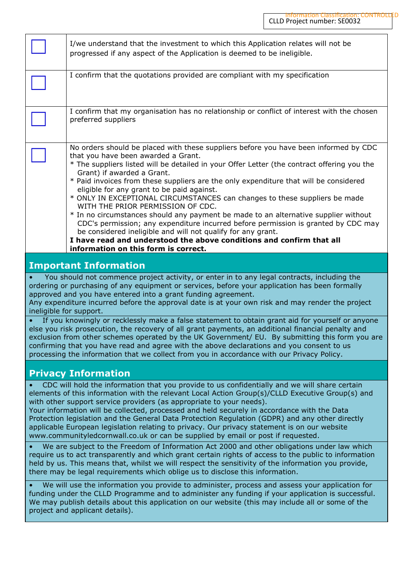|                                                                                                                                                                                                                                                                                                                                                                                                                                                                                                                                                                                                                                                                                                                                                                                                                                                                                                       | I/we understand that the investment to which this Application relates will not be<br>progressed if any aspect of the Application is deemed to be ineligible.                                                                                                                                                                                                                                                                                                                                                                                                                                                                                                                                                                                                                                                                                                                    |  |  |  |
|-------------------------------------------------------------------------------------------------------------------------------------------------------------------------------------------------------------------------------------------------------------------------------------------------------------------------------------------------------------------------------------------------------------------------------------------------------------------------------------------------------------------------------------------------------------------------------------------------------------------------------------------------------------------------------------------------------------------------------------------------------------------------------------------------------------------------------------------------------------------------------------------------------|---------------------------------------------------------------------------------------------------------------------------------------------------------------------------------------------------------------------------------------------------------------------------------------------------------------------------------------------------------------------------------------------------------------------------------------------------------------------------------------------------------------------------------------------------------------------------------------------------------------------------------------------------------------------------------------------------------------------------------------------------------------------------------------------------------------------------------------------------------------------------------|--|--|--|
|                                                                                                                                                                                                                                                                                                                                                                                                                                                                                                                                                                                                                                                                                                                                                                                                                                                                                                       | I confirm that the quotations provided are compliant with my specification                                                                                                                                                                                                                                                                                                                                                                                                                                                                                                                                                                                                                                                                                                                                                                                                      |  |  |  |
|                                                                                                                                                                                                                                                                                                                                                                                                                                                                                                                                                                                                                                                                                                                                                                                                                                                                                                       | I confirm that my organisation has no relationship or conflict of interest with the chosen<br>preferred suppliers                                                                                                                                                                                                                                                                                                                                                                                                                                                                                                                                                                                                                                                                                                                                                               |  |  |  |
|                                                                                                                                                                                                                                                                                                                                                                                                                                                                                                                                                                                                                                                                                                                                                                                                                                                                                                       | No orders should be placed with these suppliers before you have been informed by CDC<br>that you have been awarded a Grant.<br>* The suppliers listed will be detailed in your Offer Letter (the contract offering you the<br>Grant) if awarded a Grant.<br>* Paid invoices from these suppliers are the only expenditure that will be considered<br>eligible for any grant to be paid against.<br>* ONLY IN EXCEPTIONAL CIRCUMSTANCES can changes to these suppliers be made<br>WITH THE PRIOR PERMISSION OF CDC.<br>* In no circumstances should any payment be made to an alternative supplier without<br>CDC's permission; any expenditure incurred before permission is granted by CDC may<br>be considered ineligible and will not qualify for any grant.<br>I have read and understood the above conditions and confirm that all<br>information on this form is correct. |  |  |  |
|                                                                                                                                                                                                                                                                                                                                                                                                                                                                                                                                                                                                                                                                                                                                                                                                                                                                                                       | <b>Important Information</b>                                                                                                                                                                                                                                                                                                                                                                                                                                                                                                                                                                                                                                                                                                                                                                                                                                                    |  |  |  |
| You should not commence project activity, or enter in to any legal contracts, including the<br>ordering or purchasing of any equipment or services, before your application has been formally<br>approved and you have entered into a grant funding agreement.<br>Any expenditure incurred before the approval date is at your own risk and may render the project<br>ineligible for support.<br>If you knowingly or recklessly make a false statement to obtain grant aid for yourself or anyone<br>else you risk prosecution, the recovery of all grant payments, an additional financial penalty and<br>exclusion from other schemes operated by the UK Government/ EU. By submitting this form you are<br>confirming that you have read and agree with the above declarations and you consent to us<br>processing the information that we collect from you in accordance with our Privacy Policy. |                                                                                                                                                                                                                                                                                                                                                                                                                                                                                                                                                                                                                                                                                                                                                                                                                                                                                 |  |  |  |
| <b>Privacy Information</b>                                                                                                                                                                                                                                                                                                                                                                                                                                                                                                                                                                                                                                                                                                                                                                                                                                                                            |                                                                                                                                                                                                                                                                                                                                                                                                                                                                                                                                                                                                                                                                                                                                                                                                                                                                                 |  |  |  |
| CDC will hold the information that you provide to us confidentially and we will share certain<br>elements of this information with the relevant Local Action Group(s)/CLLD Executive Group(s) and<br>with other support service providers (as appropriate to your needs).<br>Your information will be collected, processed and held securely in accordance with the Data<br>Protection legislation and the General Data Protection Regulation (GDPR) and any other directly<br>applicable European legislation relating to privacy. Our privacy statement is on our website<br>www.communityledcornwall.co.uk or can be supplied by email or post if requested.<br>We are subject to the Freedom of Information Act 2000 and other obligations under law which                                                                                                                                        |                                                                                                                                                                                                                                                                                                                                                                                                                                                                                                                                                                                                                                                                                                                                                                                                                                                                                 |  |  |  |
| require us to act transparently and which grant certain rights of access to the public to information<br>held by us. This means that, whilst we will respect the sensitivity of the information you provide,<br>there may be legal requirements which oblige us to disclose this information.                                                                                                                                                                                                                                                                                                                                                                                                                                                                                                                                                                                                         |                                                                                                                                                                                                                                                                                                                                                                                                                                                                                                                                                                                                                                                                                                                                                                                                                                                                                 |  |  |  |
| We will use the information you provide to administer, process and assess your application for<br>funding under the CLLD Programme and to administer any funding if your application is successful.<br>We may publish details about this application on our website (this may include all or some of the<br>project and applicant details).                                                                                                                                                                                                                                                                                                                                                                                                                                                                                                                                                           |                                                                                                                                                                                                                                                                                                                                                                                                                                                                                                                                                                                                                                                                                                                                                                                                                                                                                 |  |  |  |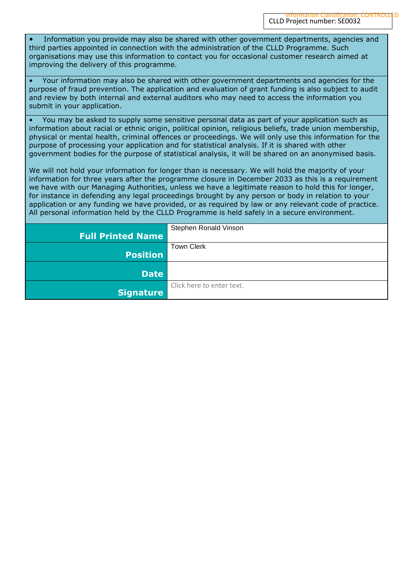• Information you provide may also be shared with other government departments, agencies and third parties appointed in connection with the administration of the CLLD Programme. Such organisations may use this information to contact you for occasional customer research aimed at improving the delivery of this programme.

• Your information may also be shared with other government departments and agencies for the purpose of fraud prevention. The application and evaluation of grant funding is also subject to audit and review by both internal and external auditors who may need to access the information you submit in your application.

• You may be asked to supply some sensitive personal data as part of your application such as information about racial or ethnic origin, political opinion, religious beliefs, trade union membership, physical or mental health, criminal offences or proceedings. We will only use this information for the purpose of processing your application and for statistical analysis. If it is shared with other government bodies for the purpose of statistical analysis, it will be shared on an anonymised basis.

We will not hold your information for longer than is necessary. We will hold the majority of your information for three years after the programme closure in December 2033 as this is a requirement we have with our Managing Authorities, unless we have a legitimate reason to hold this for longer, for instance in defending any legal proceedings brought by any person or body in relation to your application or any funding we have provided, or as required by law or any relevant code of practice. All personal information held by the CLLD Programme is held safely in a secure environment.

|                          | Stephen Ronald Vinson     |
|--------------------------|---------------------------|
| <b>Full Printed Name</b> |                           |
|                          | <b>Town Clerk</b>         |
| <b>Position</b>          |                           |
|                          |                           |
| <b>Date</b>              |                           |
|                          | Click here to enter text. |
| <b>Signature</b>         |                           |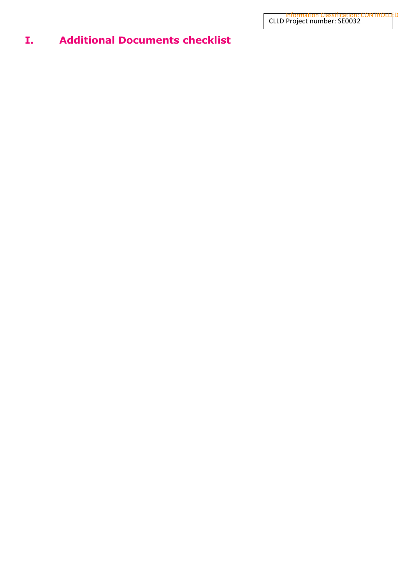## **I. Additional Documents checklist**